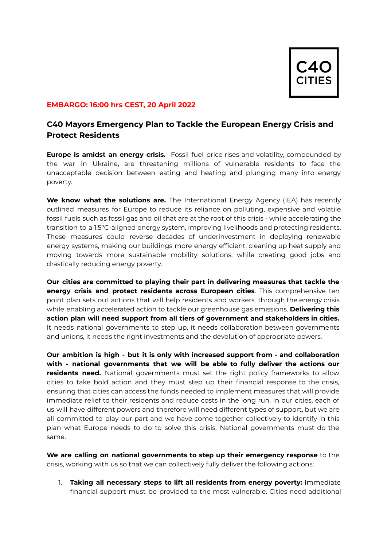

## **EMBARGO: 16:00 hrs CEST, 20 April 2022**

## **C40 Mayors Emergency Plan to Tackle the European Energy Crisis and Protect Residents**

**Europe is amidst an energy crisis.** Fossil fuel price rises and volatility, compounded by the war in Ukraine, are threatening millions of vulnerable residents to face the unacceptable decision between eating and heating and plunging many into energy poverty.

**We know what the solutions are.** The International Energy Agency (IEA) has recently outlined measures for Europe to reduce its reliance on polluting, expensive and volatile fossil fuels such as fossil gas and oil that are at the root of this crisis - while accelerating the transition to a 1.5°C-aligned energy system, improving livelihoods and protecting residents. These measures could reverse decades of underinvestment in deploying renewable energy systems, making our buildings more energy efficient, cleaning up heat supply and moving towards more sustainable mobility solutions, while creating good jobs and drastically reducing energy poverty.

**Our cities are committed to playing their part in delivering measures that tackle the energy crisis and protect residents across European cities**. This comprehensive ten point plan sets out actions that will help residents and workers through the energy crisis while enabling accelerated action to tackle our greenhouse gas emissions. **Delivering this action plan will need support from all tiers of government and stakeholders in cities.** It needs national governments to step up, it needs collaboration between governments and unions, it needs the right investments and the devolution of appropriate powers.

**Our ambition is high - but it is only with increased support from - and collaboration with - national governments that we will be able to fully deliver the actions our residents need.** National governments must set the right policy frameworks to allow cities to take bold action and they must step up their financial response to the crisis, ensuring that cities can access the funds needed to implement measures that will provide immediate relief to their residents and reduce costs in the long run. In our cities, each of us will have different powers and therefore will need different types of support, but we are all committed to play our part and we have come together collectively to identify in this plan what Europe needs to do to solve this crisis. National governments must do the same.

**We are calling on national governments to step up their emergency response** to the crisis, working with us so that we can collectively fully deliver the following actions:

1. **Taking all necessary steps to lift all residents from energy poverty:** Immediate financial support must be provided to the most vulnerable. Cities need additional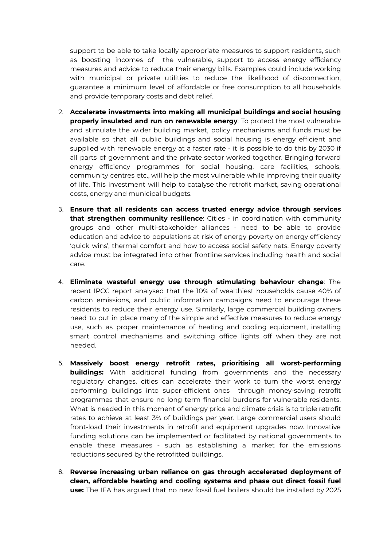support to be able to take locally appropriate measures to support residents, such as boosting incomes of the vulnerable, support to access energy efficiency measures and advice to reduce their energy bills. Examples could include working with municipal or private utilities to reduce the likelihood of disconnection, guarantee a minimum level of affordable or free consumption to all households and provide temporary costs and debt relief.

- 2. **Accelerate investments into making all municipal buildings and social housing properly insulated and run on renewable energy**: To protect the most vulnerable and stimulate the wider building market, policy mechanisms and funds must be available so that all public buildings and social housing is energy efficient and supplied with renewable energy at a faster rate - it is possible to do this by 2030 if all parts of government and the private sector worked together. Bringing forward energy efficiency programmes for social housing, care facilities, schools, community centres etc., will help the most vulnerable while improving their quality of life. This investment will help to catalyse the retrofit market, saving operational costs, energy and municipal budgets.
- 3. **Ensure that all residents can access trusted energy advice through services that strengthen community resilience**: Cities - in coordination with community groups and other multi-stakeholder alliances - need to be able to provide education and advice to populations at risk of energy poverty on energy efficiency 'quick wins', thermal comfort and how to access social safety nets. Energy poverty advice must be integrated into other frontline services including health and social care.
- 4. **Eliminate wasteful energy use through stimulating behaviour change**: The recent IPCC report analysed that the 10% of wealthiest households cause 40% of carbon emissions, and public information campaigns need to encourage these residents to reduce their energy use. Similarly, large commercial building owners need to put in place many of the simple and effective measures to reduce energy use, such as proper maintenance of heating and cooling equipment, installing smart control mechanisms and switching office lights off when they are not needed.
- 5. **Massively boost energy retrofit rates, prioritising all worst-performing buildings:** With additional funding from governments and the necessary regulatory changes, cities can accelerate their work to turn the worst energy performing buildings into super-efficient ones through money-saving retrofit programmes that ensure no long term financial burdens for vulnerable residents. What is needed in this moment of energy price and climate crisis is to triple retrofit rates to achieve at least 3% of buildings per year. Large commercial users should front-load their investments in retrofit and equipment upgrades now. Innovative funding solutions can be implemented or facilitated by national governments to enable these measures - such as establishing a market for the emissions reductions secured by the retrofitted buildings.
- 6. **Reverse increasing urban reliance on gas through accelerated deployment of clean, affordable heating and cooling systems and phase out direct fossil fuel use:** The IEA has argued that no new fossil fuel boilers should be installed by 2025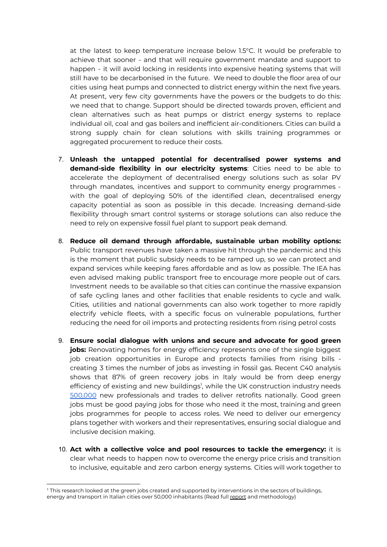at the latest to keep temperature increase below 1.5°C. It would be preferable to achieve that sooner - and that will require government mandate and support to happen - it will avoid locking in residents into expensive heating systems that will still have to be decarbonised in the future. We need to double the floor area of our cities using heat pumps and connected to district energy within the next five years. At present, very few city governments have the powers or the budgets to do this: we need that to change. Support should be directed towards proven, efficient and clean alternatives such as heat pumps or district energy systems to replace individual oil, coal and gas boilers and inefficient air-conditioners. Cities can build a strong supply chain for clean solutions with skills training programmes or aggregated procurement to reduce their costs.

- 7. **Unleash the untapped potential for decentralised power systems and demand-side flexibility in our electricity systems**: Cities need to be able to accelerate the deployment of decentralised energy solutions such as solar PV through mandates, incentives and support to community energy programmes with the goal of deploying 50% of the identified clean, decentralised energy capacity potential as soon as possible in this decade. Increasing demand-side flexibility through smart control systems or storage solutions can also reduce the need to rely on expensive fossil fuel plant to support peak demand.
- 8. **Reduce oil demand through affordable, sustainable urban mobility options:** Public transport revenues have taken a massive hit through the pandemic and this is the moment that public subsidy needs to be ramped up, so we can protect and expand services while keeping fares affordable and as low as possible. The IEA has even advised making public transport free to encourage more people out of cars. Investment needs to be available so that cities can continue the massive expansion of safe cycling lanes and other facilities that enable residents to cycle and walk. Cities, utilities and national governments can also work together to more rapidly electrify vehicle fleets, with a specific focus on vulnerable populations, further reducing the need for oil imports and protecting residents from rising petrol costs
- 9. **Ensure social dialogue with unions and secure and advocate for good green jobs:** Renovating homes for energy efficiency represents one of the single biggest job creation opportunities in Europe and protects families from rising bills creating 3 times the number of jobs as investing in fossil gas. Recent C40 analysis shows that 87% of green recovery jobs in Italy would be from deep energy efficiency of existing and new buildings<sup>1</sup>, while the UK construction industry needs [500,000](https://www.constructionleadershipcouncil.co.uk/wp-content/uploads/2021/05/Construction-Leadership-Council-National-Retrofit-Strategy-Version-2.pdf) new professionals and trades to deliver retrofits nationally. Good green jobs must be good paying jobs for those who need it the most, training and green jobs programmes for people to access roles. We need to deliver our emergency plans together with workers and their representatives, ensuring social dialogue and inclusive decision making.
- 10. **Act with a collective voice and pool resources to tackle the emergency:** it is clear what needs to happen now to overcome the energy price crisis and transition to inclusive, equitable and zero carbon energy systems. Cities will work together to

<sup>1</sup> This research looked at the green jobs created and supported by interventions in the sectors of buildings, energy and transport in Italian cities over 50,000 inhabitants (Read full [report](https://www.c40knowledgehub.org/s/article/Creating-local-green-jobs-the-United-States-Italy-and-South-Africa) and methodology)